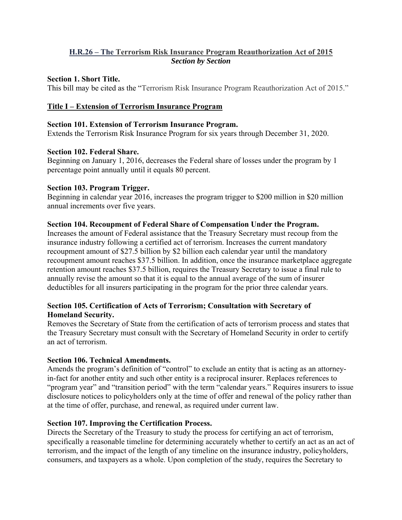# **H.R.26 – The Terrorism Risk Insurance Program Reauthorization Act of 2015** *Section by Section*

### **Section 1. Short Title.**

This bill may be cited as the "Terrorism Risk Insurance Program Reauthorization Act of 2015."

## **Title I – Extension of Terrorism Insurance Program**

#### **Section 101. Extension of Terrorism Insurance Program.**

Extends the Terrorism Risk Insurance Program for six years through December 31, 2020.

#### **Section 102. Federal Share.**

Beginning on January 1, 2016, decreases the Federal share of losses under the program by 1 percentage point annually until it equals 80 percent.

#### **Section 103. Program Trigger.**

Beginning in calendar year 2016, increases the program trigger to \$200 million in \$20 million annual increments over five years.

## **Section 104. Recoupment of Federal Share of Compensation Under the Program.**

Increases the amount of Federal assistance that the Treasury Secretary must recoup from the insurance industry following a certified act of terrorism. Increases the current mandatory recoupment amount of \$27.5 billion by \$2 billion each calendar year until the mandatory recoupment amount reaches \$37.5 billion. In addition, once the insurance marketplace aggregate retention amount reaches \$37.5 billion, requires the Treasury Secretary to issue a final rule to annually revise the amount so that it is equal to the annual average of the sum of insurer deductibles for all insurers participating in the program for the prior three calendar years.

## **Section 105. Certification of Acts of Terrorism; Consultation with Secretary of Homeland Security.**

Removes the Secretary of State from the certification of acts of terrorism process and states that the Treasury Secretary must consult with the Secretary of Homeland Security in order to certify an act of terrorism.

#### **Section 106. Technical Amendments.**

Amends the program's definition of "control" to exclude an entity that is acting as an attorneyin-fact for another entity and such other entity is a reciprocal insurer. Replaces references to "program year" and "transition period" with the term "calendar years." Requires insurers to issue disclosure notices to policyholders only at the time of offer and renewal of the policy rather than at the time of offer, purchase, and renewal, as required under current law.

## **Section 107. Improving the Certification Process.**

Directs the Secretary of the Treasury to study the process for certifying an act of terrorism, specifically a reasonable timeline for determining accurately whether to certify an act as an act of terrorism, and the impact of the length of any timeline on the insurance industry, policyholders, consumers, and taxpayers as a whole. Upon completion of the study, requires the Secretary to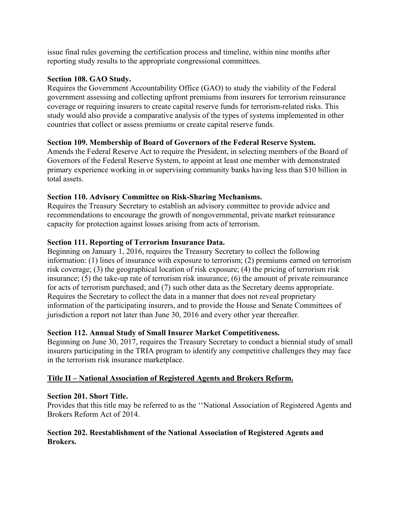issue final rules governing the certification process and timeline, within nine months after reporting study results to the appropriate congressional committees.

## **Section 108. GAO Study.**

Requires the Government Accountability Office (GAO) to study the viability of the Federal government assessing and collecting upfront premiums from insurers for terrorism reinsurance coverage or requiring insurers to create capital reserve funds for terrorism-related risks. This study would also provide a comparative analysis of the types of systems implemented in other countries that collect or assess premiums or create capital reserve funds.

# **Section 109. Membership of Board of Governors of the Federal Reserve System.**

Amends the Federal Reserve Act to require the President, in selecting members of the Board of Governors of the Federal Reserve System, to appoint at least one member with demonstrated primary experience working in or supervising community banks having less than \$10 billion in total assets.

# **Section 110. Advisory Committee on Risk-Sharing Mechanisms.**

Requires the Treasury Secretary to establish an advisory committee to provide advice and recommendations to encourage the growth of nongovernmental, private market reinsurance capacity for protection against losses arising from acts of terrorism.

# **Section 111. Reporting of Terrorism Insurance Data.**

Beginning on January 1, 2016, requires the Treasury Secretary to collect the following information: (1) lines of insurance with exposure to terrorism; (2) premiums earned on terrorism risk coverage; (3) the geographical location of risk exposure; (4) the pricing of terrorism risk insurance; (5) the take-up rate of terrorism risk insurance; (6) the amount of private reinsurance for acts of terrorism purchased; and (7) such other data as the Secretary deems appropriate. Requires the Secretary to collect the data in a manner that does not reveal proprietary information of the participating insurers, and to provide the House and Senate Committees of jurisdiction a report not later than June 30, 2016 and every other year thereafter.

# **Section 112. Annual Study of Small Insurer Market Competitiveness.**

Beginning on June 30, 2017, requires the Treasury Secretary to conduct a biennial study of small insurers participating in the TRIA program to identify any competitive challenges they may face in the terrorism risk insurance marketplace.

# **Title II – National Association of Registered Agents and Brokers Reform.**

## **Section 201. Short Title.**

Provides that this title may be referred to as the ''National Association of Registered Agents and Brokers Reform Act of 2014.

## **Section 202. Reestablishment of the National Association of Registered Agents and Brokers.**